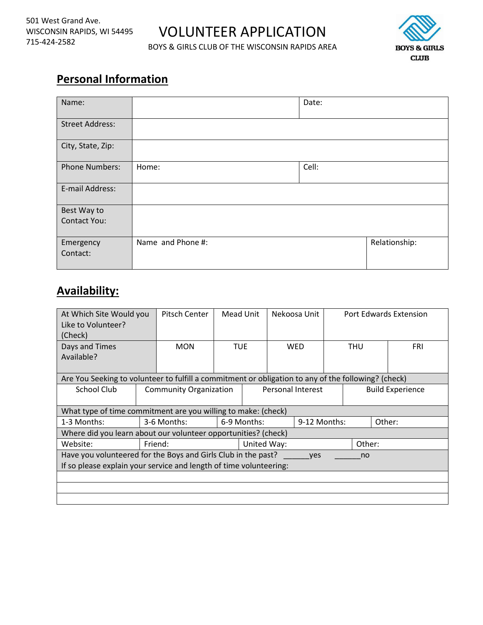# VOLUNTEER APPLICATION

BOYS & GIRLS CLUB OF THE WISCONSIN RAPIDS AREA



# **Personal Information**

| Name:                  |                   | Date: |               |
|------------------------|-------------------|-------|---------------|
| <b>Street Address:</b> |                   |       |               |
| City, State, Zip:      |                   |       |               |
| <b>Phone Numbers:</b>  | Home:             | Cell: |               |
| E-mail Address:        |                   |       |               |
| Best Way to            |                   |       |               |
| <b>Contact You:</b>    |                   |       |               |
| Emergency<br>Contact:  | Name and Phone #: |       | Relationship: |

# **Availability:**

| At Which Site Would you<br>Like to Volunteer?<br>(Check)                                                                                         |  | Pitsch Center                 | Mead Unit                   |  |                   | Nekoosa Unit |                         |            |  | Port Edwards Extension |  |
|--------------------------------------------------------------------------------------------------------------------------------------------------|--|-------------------------------|-----------------------------|--|-------------------|--------------|-------------------------|------------|--|------------------------|--|
| Days and Times<br>Available?                                                                                                                     |  | <b>MON</b>                    | <b>TUE</b>                  |  |                   | WED          |                         | <b>THU</b> |  | <b>FRI</b>             |  |
| Are You Seeking to volunteer to fulfill a commitment or obligation to any of the following? (check)                                              |  |                               |                             |  |                   |              |                         |            |  |                        |  |
| School Club                                                                                                                                      |  | <b>Community Organization</b> |                             |  | Personal Interest |              | <b>Build Experience</b> |            |  |                        |  |
| What type of time commitment are you willing to make: (check)                                                                                    |  |                               |                             |  |                   |              |                         |            |  |                        |  |
| 1-3 Months:                                                                                                                                      |  | 3-6 Months:                   | 9-12 Months:<br>6-9 Months: |  | Other:            |              |                         |            |  |                        |  |
| Where did you learn about our volunteer opportunities? (check)                                                                                   |  |                               |                             |  |                   |              |                         |            |  |                        |  |
| Website:<br>Friend:                                                                                                                              |  |                               | United Way:                 |  | Other:            |              |                         |            |  |                        |  |
| Have you volunteered for the Boys and Girls Club in the past?<br>yes<br>no<br>If so please explain your service and length of time volunteering: |  |                               |                             |  |                   |              |                         |            |  |                        |  |
|                                                                                                                                                  |  |                               |                             |  |                   |              |                         |            |  |                        |  |
|                                                                                                                                                  |  |                               |                             |  |                   |              |                         |            |  |                        |  |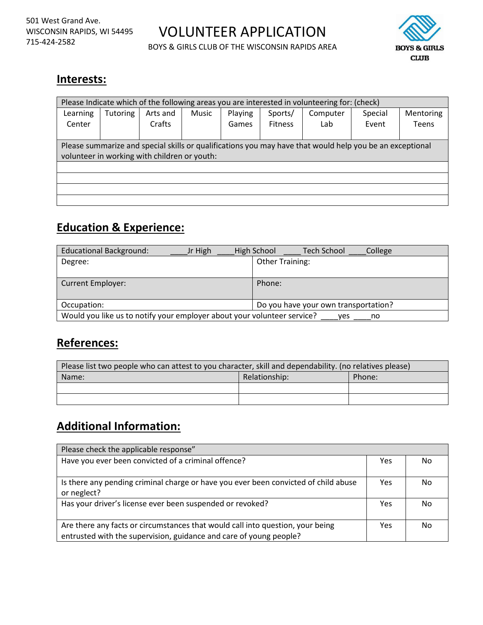VOLUNTEER APPLICATION

BOYS & GIRLS CLUB OF THE WISCONSIN RAPIDS AREA



#### **Interests:**

| Please Indicate which of the following areas you are interested in volunteering for: (check)                                                             |                 |                    |       |                  |                           |                  |                  |                    |
|----------------------------------------------------------------------------------------------------------------------------------------------------------|-----------------|--------------------|-------|------------------|---------------------------|------------------|------------------|--------------------|
| Learning<br>Center                                                                                                                                       | <b>Tutoring</b> | Arts and<br>Crafts | Music | Playing<br>Games | Sports/<br><b>Fitness</b> | Computer<br>Lab. | Special<br>Event | Mentoring<br>Teens |
|                                                                                                                                                          |                 |                    |       |                  |                           |                  |                  |                    |
| Please summarize and special skills or qualifications you may have that would help you be an exceptional<br>volunteer in working with children or youth: |                 |                    |       |                  |                           |                  |                  |                    |
|                                                                                                                                                          |                 |                    |       |                  |                           |                  |                  |                    |
|                                                                                                                                                          |                 |                    |       |                  |                           |                  |                  |                    |
|                                                                                                                                                          |                 |                    |       |                  |                           |                  |                  |                    |
|                                                                                                                                                          |                 |                    |       |                  |                           |                  |                  |                    |

### **Education & Experience:**

| <b>Educational Background:</b><br>Jr High                                            | Tech School<br>High School<br>College |  |  |  |
|--------------------------------------------------------------------------------------|---------------------------------------|--|--|--|
| Degree:                                                                              | <b>Other Training:</b>                |  |  |  |
|                                                                                      |                                       |  |  |  |
| <b>Current Employer:</b>                                                             | Phone:                                |  |  |  |
| Occupation:                                                                          | Do you have your own transportation?  |  |  |  |
| Would you like us to notify your employer about your volunteer service?<br>ves<br>no |                                       |  |  |  |

#### **References:**

| Please list two people who can attest to you character, skill and dependability. (no relatives please) |                         |  |  |  |  |
|--------------------------------------------------------------------------------------------------------|-------------------------|--|--|--|--|
| Name:                                                                                                  | Relationship:<br>Phone: |  |  |  |  |
|                                                                                                        |                         |  |  |  |  |
|                                                                                                        |                         |  |  |  |  |

## **Additional Information:**

| Please check the applicable response"                                                                                                                |     |    |  |  |
|------------------------------------------------------------------------------------------------------------------------------------------------------|-----|----|--|--|
| Have you ever been convicted of a criminal offence?                                                                                                  | Yes | No |  |  |
| Is there any pending criminal charge or have you ever been convicted of child abuse<br>or neglect?                                                   | Yes | No |  |  |
| Has your driver's license ever been suspended or revoked?                                                                                            | Yes | No |  |  |
| Are there any facts or circumstances that would call into question, your being<br>entrusted with the supervision, guidance and care of young people? | Yes | No |  |  |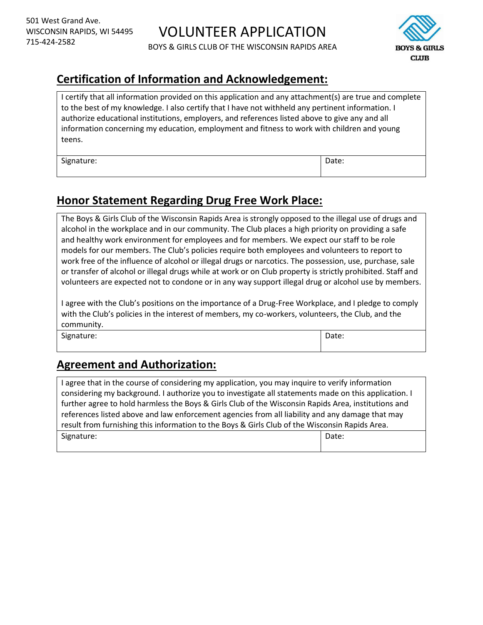

## **Certification of Information and Acknowledgement:**

I certify that all information provided on this application and any attachment(s) are true and complete to the best of my knowledge. I also certify that I have not withheld any pertinent information. I authorize educational institutions, employers, and references listed above to give any and all information concerning my education, employment and fitness to work with children and young teens.

Signature:  $\qquad \qquad$  Date:

## **Honor Statement Regarding Drug Free Work Place:**

The Boys & Girls Club of the Wisconsin Rapids Area is strongly opposed to the illegal use of drugs and alcohol in the workplace and in our community. The Club places a high priority on providing a safe and healthy work environment for employees and for members. We expect our staff to be role models for our members. The Club's policies require both employees and volunteers to report to work free of the influence of alcohol or illegal drugs or narcotics. The possession, use, purchase, sale or transfer of alcohol or illegal drugs while at work or on Club property is strictly prohibited. Staff and volunteers are expected not to condone or in any way support illegal drug or alcohol use by members.

I agree with the Club's positions on the importance of a Drug-Free Workplace, and I pledge to comply with the Club's policies in the interest of members, my co-workers, volunteers, the Club, and the community.

Signature:  $\vert$  Date:

#### **Agreement and Authorization:**

I agree that in the course of considering my application, you may inquire to verify information considering my background. I authorize you to investigate all statements made on this application. I further agree to hold harmless the Boys & Girls Club of the Wisconsin Rapids Area, institutions and references listed above and law enforcement agencies from all liability and any damage that may result from furnishing this information to the Boys & Girls Club of the Wisconsin Rapids Area. Signature:  $\vert$  Date: